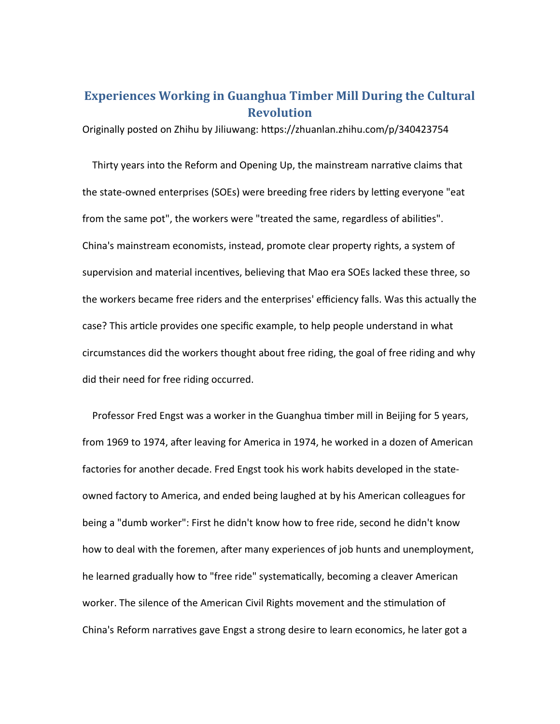## **Experiences Working in Guanghua Timber Mill During the Cultural Revolution**

Originally posted on Zhihu by Jiliuwang: https://zhuanlan.zhihu.com/p/340423754

 Thirty years into the Reform and Opening Up, the mainstream narrative claims that the state-owned enterprises (SOEs) were breeding free riders by letting everyone "eat from the same pot", the workers were "treated the same, regardless of abilities". China's mainstream economists, instead, promote clear property rights, a system of supervision and material incentives, believing that Mao era SOEs lacked these three, so the workers became free riders and the enterprises' efficiency falls. Was this actually the case? This article provides one specific example, to help people understand in what circumstances did the workers thought about free riding, the goal of free riding and why did their need for free riding occurred.

 Professor Fred Engst was a worker in the Guanghua timber mill in Beijing for 5 years, from 1969 to 1974, after leaving for America in 1974, he worked in a dozen of American factories for another decade. Fred Engst took his work habits developed in the stateowned factory to America, and ended being laughed at by his American colleagues for being a "dumb worker": First he didn't know how to free ride, second he didn't know how to deal with the foremen, after many experiences of job hunts and unemployment, he learned gradually how to "free ride" systematically, becoming a cleaver American worker. The silence of the American Civil Rights movement and the stimulation of China's Reform narratives gave Engst a strong desire to learn economics, he later got a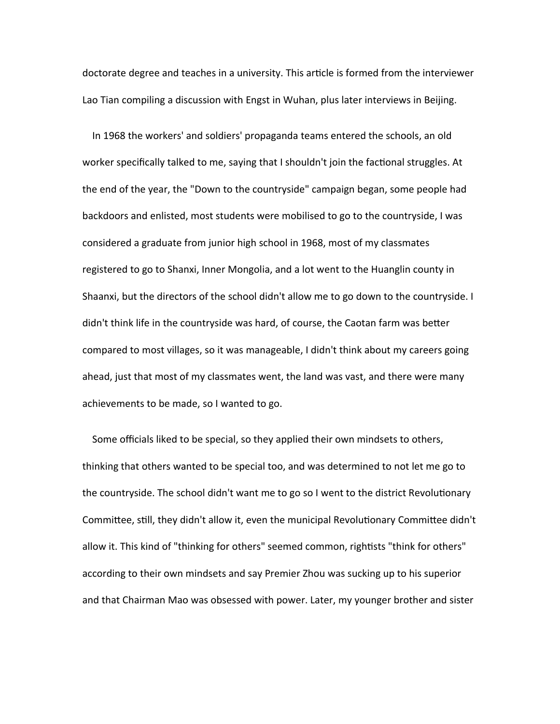doctorate degree and teaches in a university. This article is formed from the interviewer Lao Tian compiling a discussion with Engst in Wuhan, plus later interviews in Beijing.

 In 1968 the workers' and soldiers' propaganda teams entered the schools, an old worker specifically talked to me, saying that I shouldn't join the factional struggles. At the end of the year, the "Down to the countryside" campaign began, some people had backdoors and enlisted, most students were mobilised to go to the countryside, I was considered a graduate from junior high school in 1968, most of my classmates registered to go to Shanxi, Inner Mongolia, and a lot went to the Huanglin county in Shaanxi, but the directors of the school didn't allow me to go down to the countryside. I didn't think life in the countryside was hard, of course, the Caotan farm was better compared to most villages, so it was manageable, I didn't think about my careers going ahead, just that most of my classmates went, the land was vast, and there were many achievements to be made, so I wanted to go.

 Some officials liked to be special, so they applied their own mindsets to others, thinking that others wanted to be special too, and was determined to not let me go to the countryside. The school didn't want me to go so I went to the district Revolutionary Committee, still, they didn't allow it, even the municipal Revolutionary Committee didn't allow it. This kind of "thinking for others" seemed common, rightists "think for others" according to their own mindsets and say Premier Zhou was sucking up to his superior and that Chairman Mao was obsessed with power. Later, my younger brother and sister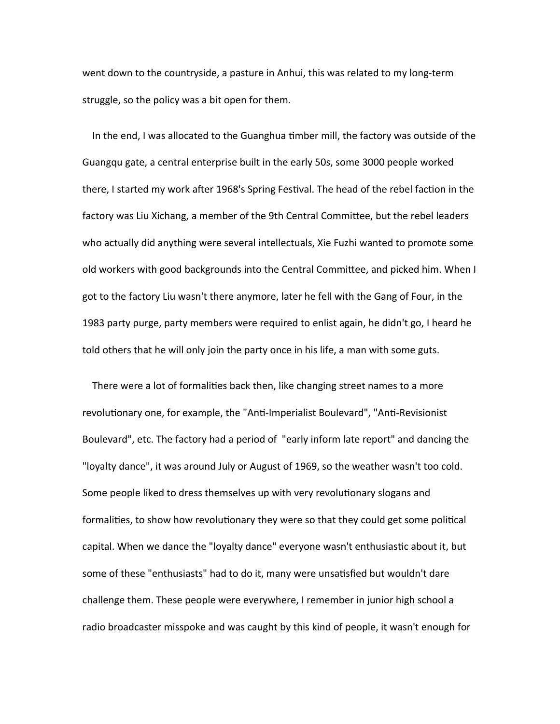went down to the countryside, a pasture in Anhui, this was related to my long-term struggle, so the policy was a bit open for them.

 In the end, I was allocated to the Guanghua timber mill, the factory was outside of the Guangqu gate, a central enterprise built in the early 50s, some 3000 people worked there, I started my work after 1968's Spring Festival. The head of the rebel faction in the factory was Liu Xichang, a member of the 9th Central Committee, but the rebel leaders who actually did anything were several intellectuals, Xie Fuzhi wanted to promote some old workers with good backgrounds into the Central Committee, and picked him. When I got to the factory Liu wasn't there anymore, later he fell with the Gang of Four, in the 1983 party purge, party members were required to enlist again, he didn't go, I heard he told others that he will only join the party once in his life, a man with some guts.

 There were a lot of formalities back then, like changing street names to a more revolutionary one, for example, the "Anti-Imperialist Boulevard", "Anti-Revisionist Boulevard", etc. The factory had a period of "early inform late report" and dancing the "loyalty dance", it was around July or August of 1969, so the weather wasn't too cold. Some people liked to dress themselves up with very revolutionary slogans and formalities, to show how revolutionary they were so that they could get some political capital. When we dance the "loyalty dance" everyone wasn't enthusiastic about it, but some of these "enthusiasts" had to do it, many were unsatisfied but wouldn't dare challenge them. These people were everywhere, I remember in junior high school a radio broadcaster misspoke and was caught by this kind of people, it wasn't enough for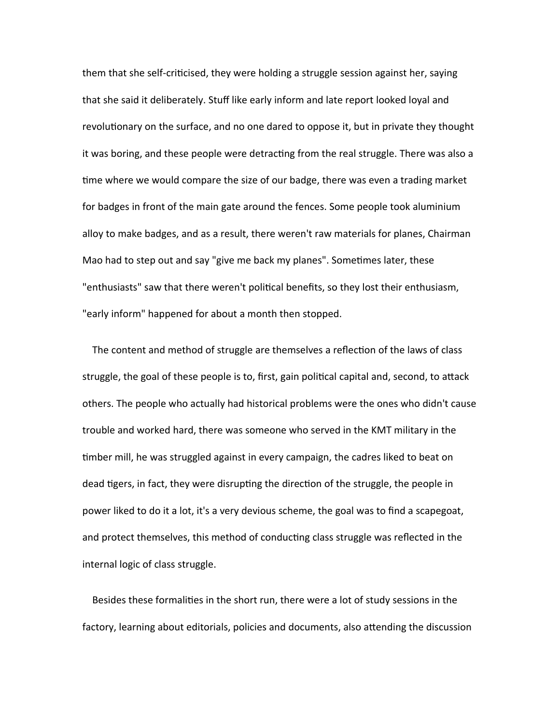them that she self-criticised, they were holding a struggle session against her, saying that she said it deliberately. Stuff like early inform and late report looked loyal and revolutionary on the surface, and no one dared to oppose it, but in private they thought it was boring, and these people were detracting from the real struggle. There was also a time where we would compare the size of our badge, there was even a trading market for badges in front of the main gate around the fences. Some people took aluminium alloy to make badges, and as a result, there weren't raw materials for planes, Chairman Mao had to step out and say "give me back my planes". Sometimes later, these "enthusiasts" saw that there weren't political benefits, so they lost their enthusiasm, "early inform" happened for about a month then stopped.

 The content and method of struggle are themselves a reflection of the laws of class struggle, the goal of these people is to, first, gain political capital and, second, to attack others. The people who actually had historical problems were the ones who didn't cause trouble and worked hard, there was someone who served in the KMT military in the timber mill, he was struggled against in every campaign, the cadres liked to beat on dead tigers, in fact, they were disrupting the direction of the struggle, the people in power liked to do it a lot, it's a very devious scheme, the goal was to find a scapegoat, and protect themselves, this method of conducting class struggle was reflected in the internal logic of class struggle.

 Besides these formalities in the short run, there were a lot of study sessions in the factory, learning about editorials, policies and documents, also attending the discussion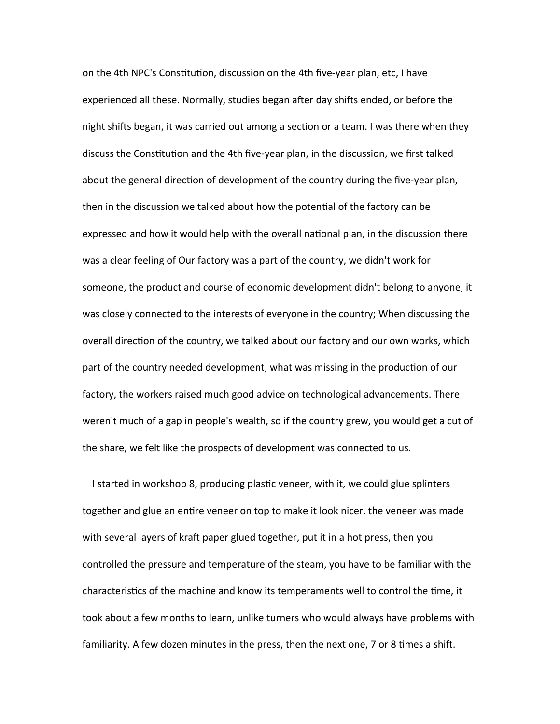on the 4th NPC's Constitution, discussion on the 4th five-year plan, etc, I have experienced all these. Normally, studies began after day shifts ended, or before the night shifts began, it was carried out among a section or a team. I was there when they discuss the Constitution and the 4th five-year plan, in the discussion, we first talked about the general direction of development of the country during the five-year plan, then in the discussion we talked about how the potential of the factory can be expressed and how it would help with the overall national plan, in the discussion there was a clear feeling of Our factory was a part of the country, we didn't work for someone, the product and course of economic development didn't belong to anyone, it was closely connected to the interests of everyone in the country; When discussing the overall direction of the country, we talked about our factory and our own works, which part of the country needed development, what was missing in the production of our factory, the workers raised much good advice on technological advancements. There weren't much of a gap in people's wealth, so if the country grew, you would get a cut of the share, we felt like the prospects of development was connected to us.

 I started in workshop 8, producing plastic veneer, with it, we could glue splinters together and glue an entire veneer on top to make it look nicer. the veneer was made with several layers of kraft paper glued together, put it in a hot press, then you controlled the pressure and temperature of the steam, you have to be familiar with the characteristics of the machine and know its temperaments well to control the time, it took about a few months to learn, unlike turners who would always have problems with familiarity. A few dozen minutes in the press, then the next one, 7 or 8 times a shift.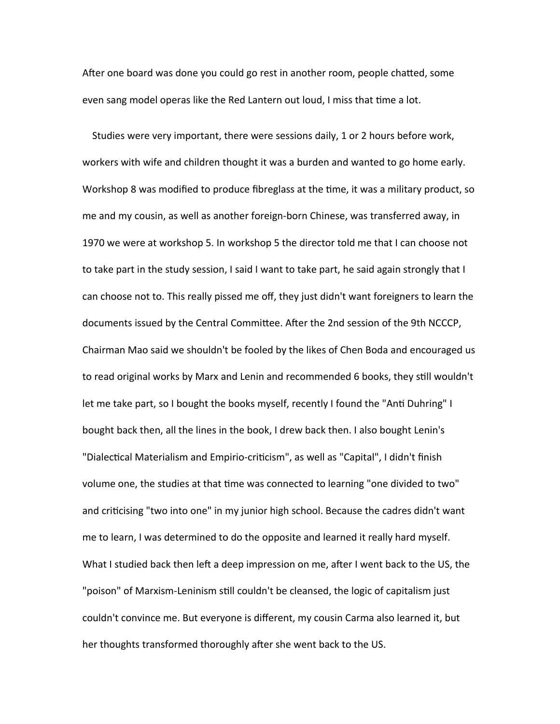After one board was done you could go rest in another room, people chatted, some even sang model operas like the Red Lantern out loud, I miss that time a lot.

 Studies were very important, there were sessions daily, 1 or 2 hours before work, workers with wife and children thought it was a burden and wanted to go home early. Workshop 8 was modified to produce fibreglass at the time, it was a military product, so me and my cousin, as well as another foreign-born Chinese, was transferred away, in 1970 we were at workshop 5. In workshop 5 the director told me that I can choose not to take part in the study session, I said I want to take part, he said again strongly that I can choose not to. This really pissed me off, they just didn't want foreigners to learn the documents issued by the Central Committee. After the 2nd session of the 9th NCCCP, Chairman Mao said we shouldn't be fooled by the likes of Chen Boda and encouraged us to read original works by Marx and Lenin and recommended 6 books, they still wouldn't let me take part, so I bought the books myself, recently I found the "Anti Duhring" I bought back then, all the lines in the book, I drew back then. I also bought Lenin's "Dialectical Materialism and Empirio-criticism", as well as "Capital", I didn't finish volume one, the studies at that time was connected to learning "one divided to two" and criticising "two into one" in my junior high school. Because the cadres didn't want me to learn, I was determined to do the opposite and learned it really hard myself. What I studied back then left a deep impression on me, after I went back to the US, the "poison" of Marxism-Leninism still couldn't be cleansed, the logic of capitalism just couldn't convince me. But everyone is different, my cousin Carma also learned it, but her thoughts transformed thoroughly after she went back to the US.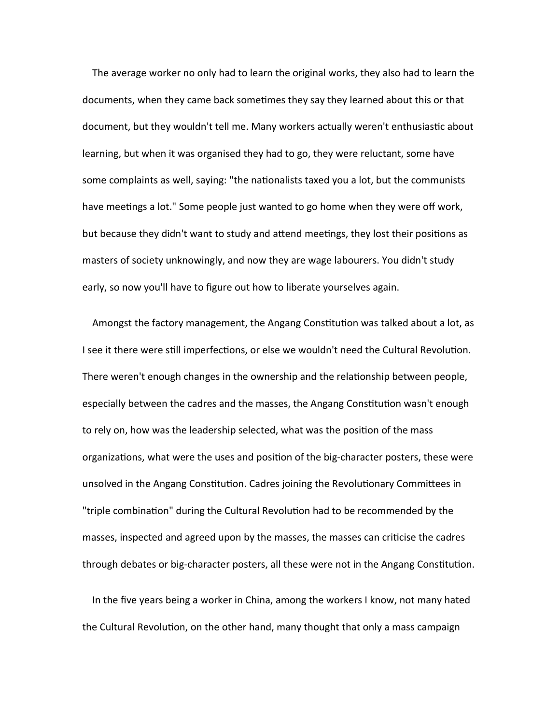The average worker no only had to learn the original works, they also had to learn the documents, when they came back sometimes they say they learned about this or that document, but they wouldn't tell me. Many workers actually weren't enthusiastic about learning, but when it was organised they had to go, they were reluctant, some have some complaints as well, saying: "the nationalists taxed you a lot, but the communists have meetings a lot." Some people just wanted to go home when they were off work, but because they didn't want to study and attend meetings, they lost their positions as masters of society unknowingly, and now they are wage labourers. You didn't study early, so now you'll have to figure out how to liberate yourselves again.

 Amongst the factory management, the Angang Constitution was talked about a lot, as I see it there were still imperfections, or else we wouldn't need the Cultural Revolution. There weren't enough changes in the ownership and the relationship between people, especially between the cadres and the masses, the Angang Constitution wasn't enough to rely on, how was the leadership selected, what was the position of the mass organizations, what were the uses and position of the big-character posters, these were unsolved in the Angang Constitution. Cadres joining the Revolutionary Committees in "triple combination" during the Cultural Revolution had to be recommended by the masses, inspected and agreed upon by the masses, the masses can criticise the cadres through debates or big-character posters, all these were not in the Angang Constitution.

 In the five years being a worker in China, among the workers I know, not many hated the Cultural Revolution, on the other hand, many thought that only a mass campaign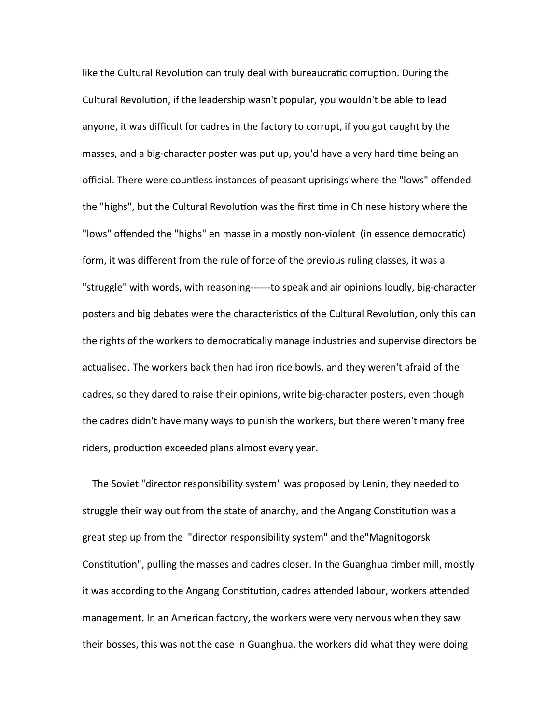like the Cultural Revolution can truly deal with bureaucratic corruption. During the Cultural Revolution, if the leadership wasn't popular, you wouldn't be able to lead anyone, it was difficult for cadres in the factory to corrupt, if you got caught by the masses, and a big-character poster was put up, you'd have a very hard time being an official. There were countless instances of peasant uprisings where the "lows" offended the "highs", but the Cultural Revolution was the first time in Chinese history where the "lows" offended the "highs" en masse in a mostly non-violent (in essence democratic) form, it was different from the rule of force of the previous ruling classes, it was a "struggle" with words, with reasoning------to speak and air opinions loudly, big-character posters and big debates were the characteristics of the Cultural Revolution, only this can the rights of the workers to democratically manage industries and supervise directors be actualised. The workers back then had iron rice bowls, and they weren't afraid of the cadres, so they dared to raise their opinions, write big-character posters, even though the cadres didn't have many ways to punish the workers, but there weren't many free riders, production exceeded plans almost every year.

 The Soviet "director responsibility system" was proposed by Lenin, they needed to struggle their way out from the state of anarchy, and the Angang Constitution was a great step up from the "director responsibility system" and the"Magnitogorsk Constitution", pulling the masses and cadres closer. In the Guanghua timber mill, mostly it was according to the Angang Constitution, cadres attended labour, workers attended management. In an American factory, the workers were very nervous when they saw their bosses, this was not the case in Guanghua, the workers did what they were doing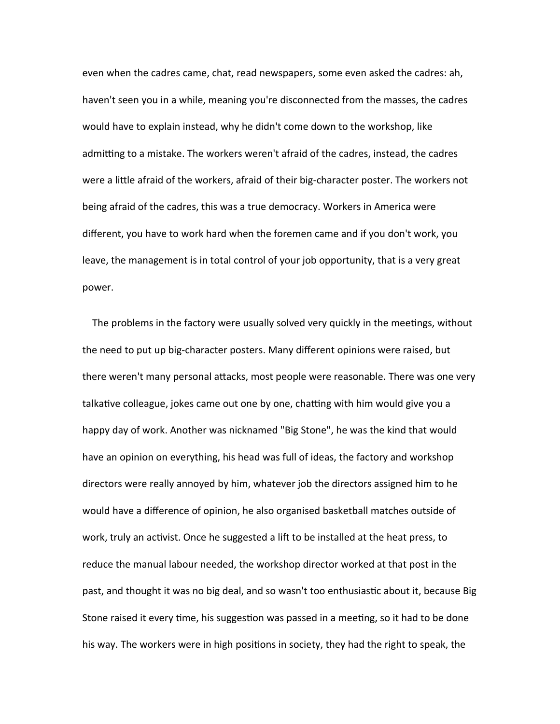even when the cadres came, chat, read newspapers, some even asked the cadres: ah, haven't seen you in a while, meaning you're disconnected from the masses, the cadres would have to explain instead, why he didn't come down to the workshop, like admitting to a mistake. The workers weren't afraid of the cadres, instead, the cadres were a little afraid of the workers, afraid of their big-character poster. The workers not being afraid of the cadres, this was a true democracy. Workers in America were different, you have to work hard when the foremen came and if you don't work, you leave, the management is in total control of your job opportunity, that is a very great power.

 The problems in the factory were usually solved very quickly in the meetings, without the need to put up big-character posters. Many different opinions were raised, but there weren't many personal attacks, most people were reasonable. There was one very talkative colleague, jokes came out one by one, chatting with him would give you a happy day of work. Another was nicknamed "Big Stone", he was the kind that would have an opinion on everything, his head was full of ideas, the factory and workshop directors were really annoyed by him, whatever job the directors assigned him to he would have a difference of opinion, he also organised basketball matches outside of work, truly an activist. Once he suggested a lift to be installed at the heat press, to reduce the manual labour needed, the workshop director worked at that post in the past, and thought it was no big deal, and so wasn't too enthusiastic about it, because Big Stone raised it every time, his suggestion was passed in a meeting, so it had to be done his way. The workers were in high positions in society, they had the right to speak, the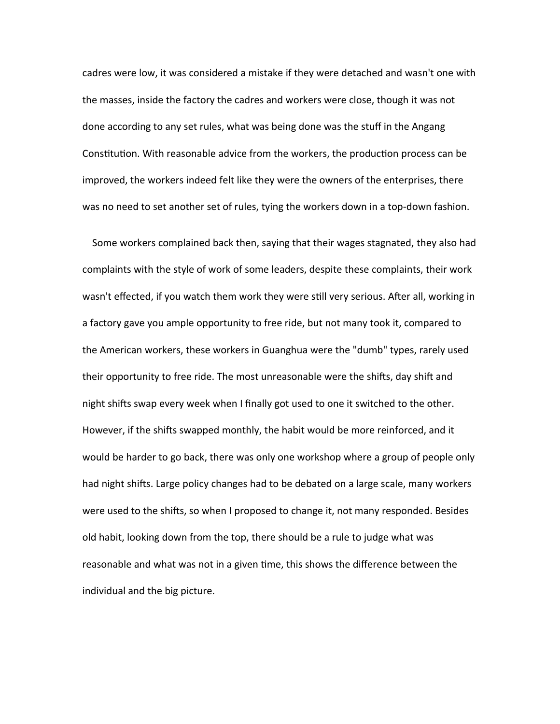cadres were low, it was considered a mistake if they were detached and wasn't one with the masses, inside the factory the cadres and workers were close, though it was not done according to any set rules, what was being done was the stuff in the Angang Constitution. With reasonable advice from the workers, the production process can be improved, the workers indeed felt like they were the owners of the enterprises, there was no need to set another set of rules, tying the workers down in a top-down fashion.

 Some workers complained back then, saying that their wages stagnated, they also had complaints with the style of work of some leaders, despite these complaints, their work wasn't effected, if you watch them work they were still very serious. After all, working in a factory gave you ample opportunity to free ride, but not many took it, compared to the American workers, these workers in Guanghua were the "dumb" types, rarely used their opportunity to free ride. The most unreasonable were the shifts, day shift and night shifts swap every week when I finally got used to one it switched to the other. However, if the shifts swapped monthly, the habit would be more reinforced, and it would be harder to go back, there was only one workshop where a group of people only had night shifts. Large policy changes had to be debated on a large scale, many workers were used to the shifts, so when I proposed to change it, not many responded. Besides old habit, looking down from the top, there should be a rule to judge what was reasonable and what was not in a given time, this shows the difference between the individual and the big picture.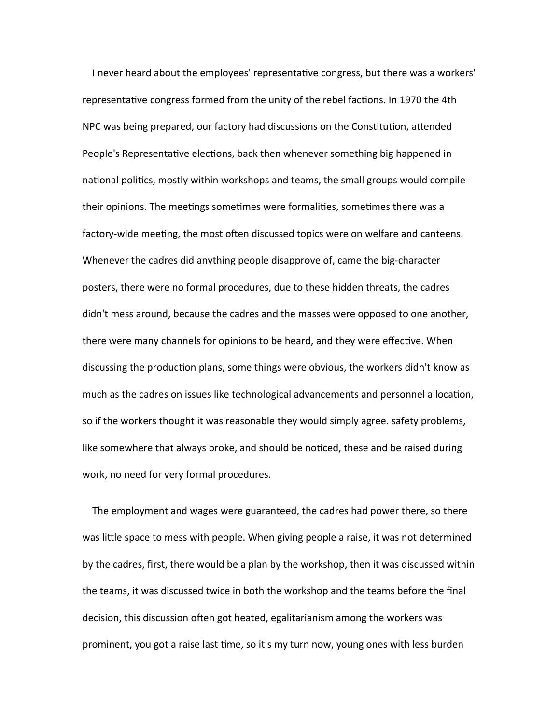I never heard about the employees' representative congress, but there was a workers' representative congress formed from the unity of the rebel factions. In 1970 the 4th NPC was being prepared, our factory had discussions on the Constitution, attended People's Representative elections, back then whenever something big happened in national politics, mostly within workshops and teams, the small groups would compile their opinions. The meetings sometimes were formalities, sometimes there was a factory-wide meeting, the most often discussed topics were on welfare and canteens. Whenever the cadres did anything people disapprove of, came the big-character posters, there were no formal procedures, due to these hidden threats, the cadres didn't mess around, because the cadres and the masses were opposed to one another, there were many channels for opinions to be heard, and they were effective. When discussing the production plans, some things were obvious, the workers didn't know as much as the cadres on issues like technological advancements and personnel allocation, so if the workers thought it was reasonable they would simply agree. safety problems, like somewhere that always broke, and should be noticed, these and be raised during work, no need for very formal procedures.

 The employment and wages were guaranteed, the cadres had power there, so there was little space to mess with people. When giving people a raise, it was not determined by the cadres, first, there would be a plan by the workshop, then it was discussed within the teams, it was discussed twice in both the workshop and the teams before the final decision, this discussion often got heated, egalitarianism among the workers was prominent, you got a raise last time, so it's my turn now, young ones with less burden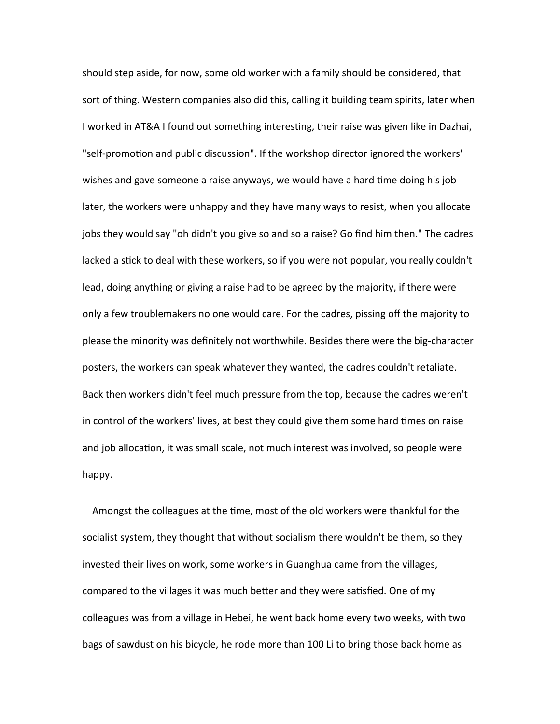should step aside, for now, some old worker with a family should be considered, that sort of thing. Western companies also did this, calling it building team spirits, later when I worked in AT&A I found out something interesting, their raise was given like in Dazhai, "self-promotion and public discussion". If the workshop director ignored the workers' wishes and gave someone a raise anyways, we would have a hard time doing his job later, the workers were unhappy and they have many ways to resist, when you allocate jobs they would say "oh didn't you give so and so a raise? Go find him then." The cadres lacked a stick to deal with these workers, so if you were not popular, you really couldn't lead, doing anything or giving a raise had to be agreed by the majority, if there were only a few troublemakers no one would care. For the cadres, pissing off the majority to please the minority was definitely not worthwhile. Besides there were the big-character posters, the workers can speak whatever they wanted, the cadres couldn't retaliate. Back then workers didn't feel much pressure from the top, because the cadres weren't in control of the workers' lives, at best they could give them some hard times on raise and job allocation, it was small scale, not much interest was involved, so people were happy.

 Amongst the colleagues at the time, most of the old workers were thankful for the socialist system, they thought that without socialism there wouldn't be them, so they invested their lives on work, some workers in Guanghua came from the villages, compared to the villages it was much better and they were satisfied. One of my colleagues was from a village in Hebei, he went back home every two weeks, with two bags of sawdust on his bicycle, he rode more than 100 Li to bring those back home as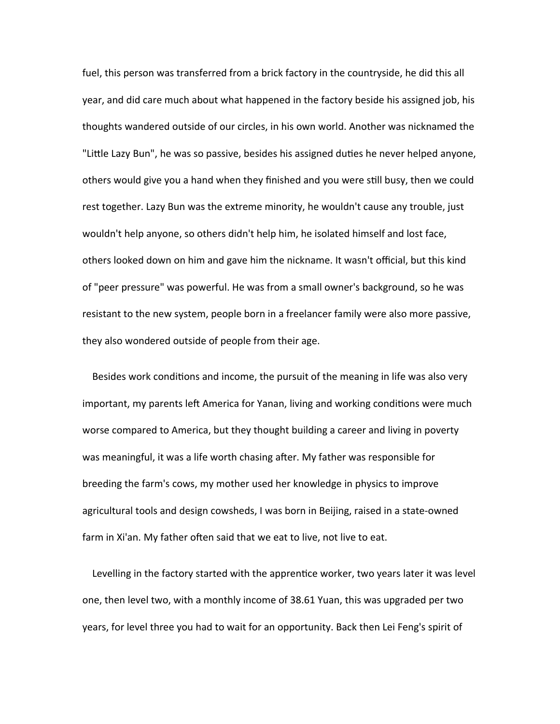fuel, this person was transferred from a brick factory in the countryside, he did this all year, and did care much about what happened in the factory beside his assigned job, his thoughts wandered outside of our circles, in his own world. Another was nicknamed the "Little Lazy Bun", he was so passive, besides his assigned duties he never helped anyone, others would give you a hand when they finished and you were still busy, then we could rest together. Lazy Bun was the extreme minority, he wouldn't cause any trouble, just wouldn't help anyone, so others didn't help him, he isolated himself and lost face, others looked down on him and gave him the nickname. It wasn't official, but this kind of "peer pressure" was powerful. He was from a small owner's background, so he was resistant to the new system, people born in a freelancer family were also more passive, they also wondered outside of people from their age.

 Besides work conditions and income, the pursuit of the meaning in life was also very important, my parents left America for Yanan, living and working conditions were much worse compared to America, but they thought building a career and living in poverty was meaningful, it was a life worth chasing after. My father was responsible for breeding the farm's cows, my mother used her knowledge in physics to improve agricultural tools and design cowsheds, I was born in Beijing, raised in a state-owned farm in Xi'an. My father often said that we eat to live, not live to eat.

 Levelling in the factory started with the apprentice worker, two years later it was level one, then level two, with a monthly income of 38.61 Yuan, this was upgraded per two years, for level three you had to wait for an opportunity. Back then Lei Feng's spirit of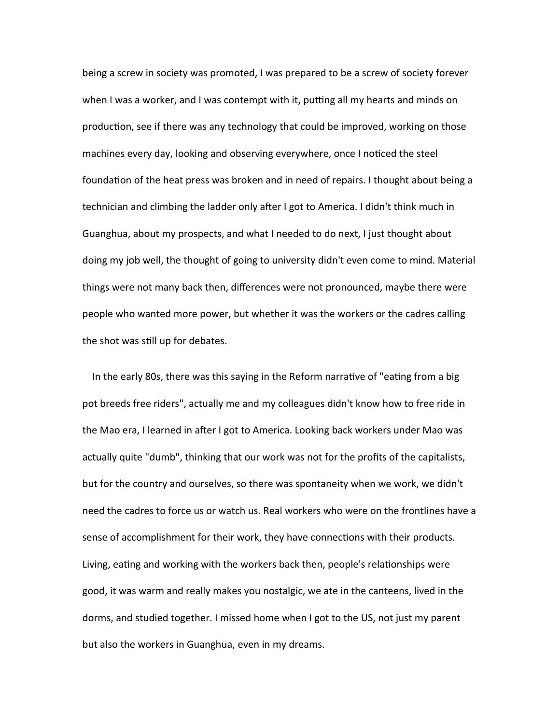being a screw in society was promoted, I was prepared to be a screw of society forever when I was a worker, and I was contempt with it, putting all my hearts and minds on production, see if there was any technology that could be improved, working on those machines every day, looking and observing everywhere, once I noticed the steel foundation of the heat press was broken and in need of repairs. I thought about being a technician and climbing the ladder only after I got to America. I didn't think much in Guanghua, about my prospects, and what I needed to do next, I just thought about doing my job well, the thought of going to university didn't even come to mind. Material things were not many back then, differences were not pronounced, maybe there were people who wanted more power, but whether it was the workers or the cadres calling the shot was still up for debates.

 In the early 80s, there was this saying in the Reform narrative of "eating from a big pot breeds free riders", actually me and my colleagues didn't know how to free ride in the Mao era, I learned in after I got to America. Looking back workers under Mao was actually quite "dumb", thinking that our work was not for the profits of the capitalists, but for the country and ourselves, so there was spontaneity when we work, we didn't need the cadres to force us or watch us. Real workers who were on the frontlines have a sense of accomplishment for their work, they have connections with their products. Living, eating and working with the workers back then, people's relationships were good, it was warm and really makes you nostalgic, we ate in the canteens, lived in the dorms, and studied together. I missed home when I got to the US, not just my parent but also the workers in Guanghua, even in my dreams.